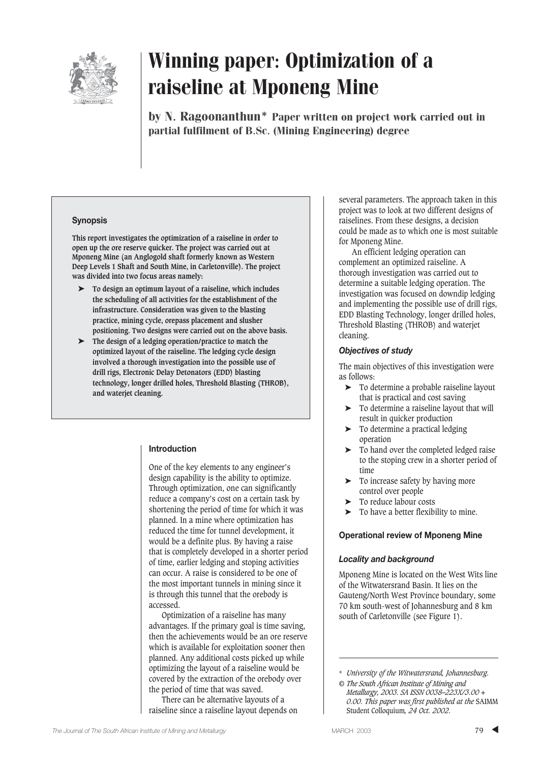

by N. Ragoonanthun\* Paper written on project work carried out in partial fulfilment of B.Sc. (Mining Engineering) degree

#### **Synopsis**

**This report investigates the optimization of a raiseline in order to open up the ore reserve quicker. The project was carried out at Mponeng Mine (an Anglogold shaft formerly known as Western Deep Levels 1 Shaft and South Mine, in Carletonville). The project was divided into two focus areas namely:**

- ➤ **To design an optimum layout of a raiseline, which includes the scheduling of all activities for the establishment of the infrastructure. Consideration was given to the blasting practice, mining cycle, orepass placement and slusher positioning. Two designs were carried out on the above basis.**
- ➤ **The design of a ledging operation/practice to match the optimized layout of the raiseline. The ledging cycle design involved a thorough investigation into the possible use of drill rigs, Electronic Delay Detonators (EDD) blasting technology, longer drilled holes, Threshold Blasting (THROB), and waterjet cleaning.**

#### **Introduction**

One of the key elements to any engineer's design capability is the ability to optimize. Through optimization, one can significantly reduce a company's cost on a certain task by shortening the period of time for which it was planned. In a mine where optimization has reduced the time for tunnel development, it would be a definite plus. By having a raise that is completely developed in a shorter period of time, earlier ledging and stoping activities can occur. A raise is considered to be one of the most important tunnels in mining since it is through this tunnel that the orebody is accessed.

Optimization of a raiseline has many advantages. If the primary goal is time saving, then the achievements would be an ore reserve which is available for exploitation sooner then planned. Any additional costs picked up while optimizing the layout of a raiseline would be covered by the extraction of the orebody over the period of time that was saved.

There can be alternative layouts of a raiseline since a raiseline layout depends on several parameters. The approach taken in this project was to look at two different designs of raiselines. From these designs, a decision could be made as to which one is most suitable for Mponeng Mine.

An efficient ledging operation can complement an optimized raiseline. A thorough investigation was carried out to determine a suitable ledging operation. The investigation was focused on downdip ledging and implementing the possible use of drill rigs, EDD Blasting Technology, longer drilled holes, Threshold Blasting (THROB) and waterjet cleaning.

#### *Objectives of study*

The main objectives of this investigation were as follows:

- ➤ To determine a probable raiseline layout that is practical and cost saving
- ➤ To determine a raiseline layout that will result in quicker production
- ➤ To determine a practical ledging operation
- ➤ To hand over the completed ledged raise to the stoping crew in a shorter period of time
- ➤ To increase safety by having more control over people
- ➤ To reduce labour costs
- $\blacktriangleright$  To have a better flexibility to mine.

#### **Operational review of Mponeng Mine**

#### *Locality and background*

Mponeng Mine is located on the West Wits line of the Witwatersrand Basin. It lies on the Gauteng/North West Province boundary, some 70 km south-west of Johannesburg and 8 km south of Carletonville (see Figure 1).

<sup>\*</sup> *University of the Witwatersrand, Johannesburg.*

*<sup>©</sup> The South African Institute of Mining and Metallurgy, 2003. SA ISSN 0038–223X/3.00 + 0.00. This paper was first published at the* SAIMM Student Colloquium*, 24 Oct. 2002.*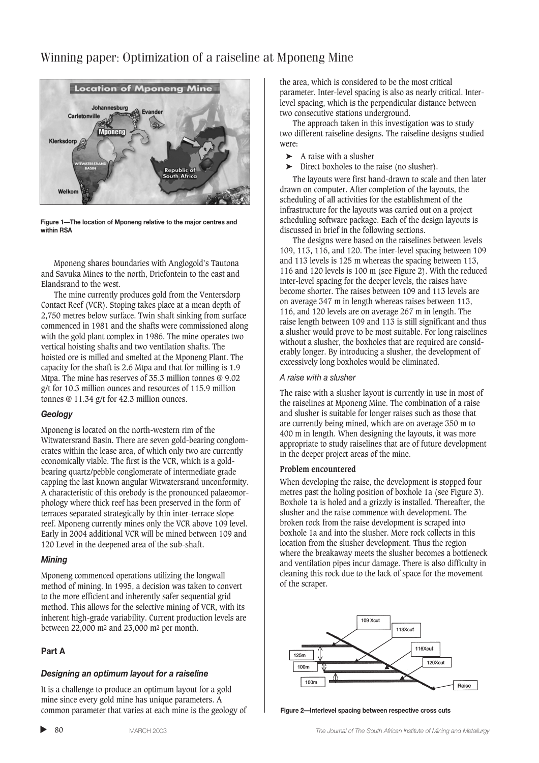

**Figure 1—The location of Mponeng relative to the major centres and within RSA**

Mponeng shares boundaries with Anglogold's Tautona and Savuka Mines to the north, Driefontein to the east and Elandsrand to the west.

The mine currently produces gold from the Ventersdorp Contact Reef (VCR). Stoping takes place at a mean depth of 2,750 metres below surface. Twin shaft sinking from surface commenced in 1981 and the shafts were commissioned along with the gold plant complex in 1986. The mine operates two vertical hoisting shafts and two ventilation shafts. The hoisted ore is milled and smelted at the Mponeng Plant. The capacity for the shaft is 2.6 Mtpa and that for milling is 1.9 Mtpa. The mine has reserves of 35.3 million tonnes @ 9.02 g/t for 10.3 million ounces and resources of 115.9 million tonnes @ 11.34 g/t for 42.3 million ounces.

#### *Geology*

Mponeng is located on the north-western rim of the Witwatersrand Basin. There are seven gold-bearing conglomerates within the lease area, of which only two are currently economically viable. The first is the VCR, which is a goldbearing quartz/pebble conglomerate of intermediate grade capping the last known angular Witwatersrand unconformity. A characteristic of this orebody is the pronounced palaeomorphology where thick reef has been preserved in the form of terraces separated strategically by thin inter-terrace slope reef. Mponeng currently mines only the VCR above 109 level. Early in 2004 additional VCR will be mined between 109 and 120 Level in the deepened area of the sub-shaft.

#### *Mining*

Mponeng commenced operations utilizing the longwall method of mining. In 1995, a decision was taken to convert to the more efficient and inherently safer sequential grid method. This allows for the selective mining of VCR, with its inherent high-grade variability. Current production levels are between 22,000 m2 and 23,000 m2 per month.

#### **Part A**

▲

#### *Designing an optimum layout for a raiseline*

It is a challenge to produce an optimum layout for a gold mine since every gold mine has unique parameters. A common parameter that varies at each mine is the geology of the area, which is considered to be the most critical parameter. Inter-level spacing is also as nearly critical. Interlevel spacing, which is the perpendicular distance between two consecutive stations underground.

The approach taken in this investigation was to study two different raiseline designs. The raiseline designs studied were:

- $\blacktriangleright$  A raise with a slusher
- ➤ Direct boxholes to the raise (no slusher).

The layouts were first hand-drawn to scale and then later drawn on computer. After completion of the layouts, the scheduling of all activities for the establishment of the infrastructure for the layouts was carried out on a project scheduling software package. Each of the design layouts is discussed in brief in the following sections.

The designs were based on the raiselines between levels 109, 113, 116, and 120. The inter-level spacing between 109 and 113 levels is 125 m whereas the spacing between 113, 116 and 120 levels is 100 m (see Figure 2). With the reduced inter-level spacing for the deeper levels, the raises have become shorter. The raises between 109 and 113 levels are on average 347 m in length whereas raises between 113, 116, and 120 levels are on average 267 m in length. The raise length between 109 and 113 is still significant and thus a slusher would prove to be most suitable. For long raiselines without a slusher, the boxholes that are required are considerably longer. By introducing a slusher, the development of excessively long boxholes would be eliminated.

#### *A raise with a slusher*

The raise with a slusher layout is currently in use in most of the raiselines at Mponeng Mine. The combination of a raise and slusher is suitable for longer raises such as those that are currently being mined, which are on average 350 m to 400 m in length. When designing the layouts, it was more appropriate to study raiselines that are of future development in the deeper project areas of the mine.

#### **Problem encountered**

When developing the raise, the development is stopped four metres past the holing position of boxhole 1a (see Figure 3). Boxhole 1a is holed and a grizzly is installed. Thereafter, the slusher and the raise commence with development. The broken rock from the raise development is scraped into boxhole 1a and into the slusher. More rock collects in this location from the slusher development. Thus the region where the breakaway meets the slusher becomes a bottleneck and ventilation pipes incur damage. There is also difficulty in cleaning this rock due to the lack of space for the movement of the scraper.



**Figure 2—Interlevel spacing between respective cross cuts**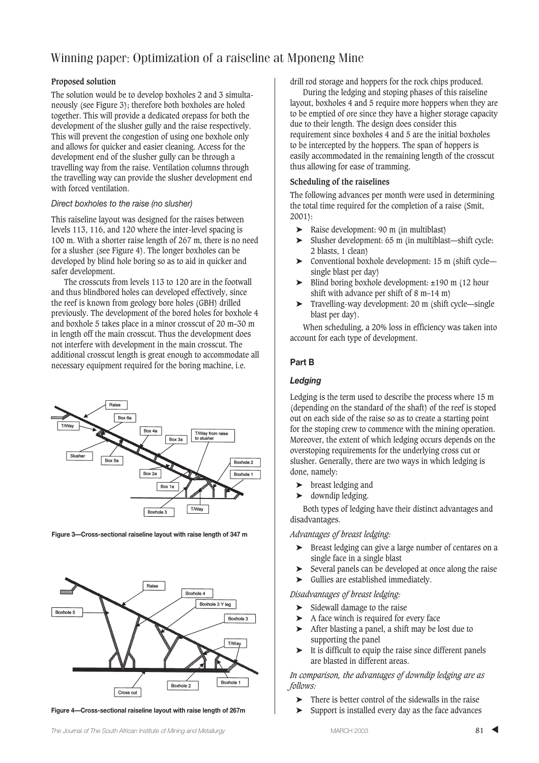#### **Proposed solution**

The solution would be to develop boxholes 2 and 3 simultaneously (see Figure 3); therefore both boxholes are holed together. This will provide a dedicated orepass for both the development of the slusher gully and the raise respectively. This will prevent the congestion of using one boxhole only and allows for quicker and easier cleaning. Access for the development end of the slusher gully can be through a travelling way from the raise. Ventilation columns through the travelling way can provide the slusher development end with forced ventilation.

#### *Direct boxholes to the raise (no slusher)*

This raiseline layout was designed for the raises between levels 113, 116, and 120 where the inter-level spacing is 100 m. With a shorter raise length of 267 m, there is no need for a slusher (see Figure 4). The longer boxholes can be developed by blind hole boring so as to aid in quicker and safer development.

The crosscuts from levels 113 to 120 are in the footwall and thus blindbored holes can developed effectively, since the reef is known from geology bore holes (GBH) drilled previously. The development of the bored holes for boxhole 4 and boxhole 5 takes place in a minor crosscut of 20 m–30 m in length off the main crosscut. Thus the development does not interfere with development in the main crosscut. The additional crosscut length is great enough to accommodate all necessary equipment required for the boring machine, i.e.



**Figure 3—Cross-sectional raiseline layout with raise length of 347 m**



**Figure 4—Cross-sectional raiseline layout with raise length of 267m**

drill rod storage and hoppers for the rock chips produced.

During the ledging and stoping phases of this raiseline layout, boxholes 4 and 5 require more hoppers when they are to be emptied of ore since they have a higher storage capacity due to their length. The design does consider this requirement since boxholes 4 and 5 are the initial boxholes to be intercepted by the hoppers. The span of hoppers is easily accommodated in the remaining length of the crosscut thus allowing for ease of tramming.

#### **Scheduling of the raiselines**

The following advances per month were used in determining the total time required for the completion of a raise (Smit, 2001):

- ➤ Raise development: 90 m (in multiblast)
- ➤ Slusher development: 65 m (in multiblast—shift cycle: 2 blasts, 1 clean)
- ➤ Conventional boxhole development: 15 m (shift cycle single blast per day)
- ➤ Blind boring boxhole development: ±190 m (12 hour shift with advance per shift of 8 m–14 m)
- ➤ Travelling-way development: 20 m (shift cycle—single blast per day).

When scheduling, a 20% loss in efficiency was taken into account for each type of development.

#### **Part B**

#### *Ledging*

Ledging is the term used to describe the process where 15 m (depending on the standard of the shaft) of the reef is stoped out on each side of the raise so as to create a starting point for the stoping crew to commence with the mining operation. Moreover, the extent of which ledging occurs depends on the overstoping requirements for the underlying cross cut or slusher. Generally, there are two ways in which ledging is done, namely:

- ➤ breast ledging and
- ➤ downdip ledging.

Both types of ledging have their distinct advantages and disadvantages.

*Advantages of breast ledging:* 

- ➤ Breast ledging can give a large number of centares on a single face in a single blast
- ➤ Several panels can be developed at once along the raise
- ➤ Gullies are established immediately.

*Disadvantages of breast ledging:*

- ➤ Sidewall damage to the raise
- ➤ A face winch is required for every face
- ➤ After blasting a panel, a shift may be lost due to supporting the panel
- $\blacktriangleright$  It is difficult to equip the raise since different panels are blasted in different areas.

*In comparison, the advantages of downdip ledging are as follows:*

- There is better control of the sidewalls in the raise
- ➤ Support is installed every day as the face advances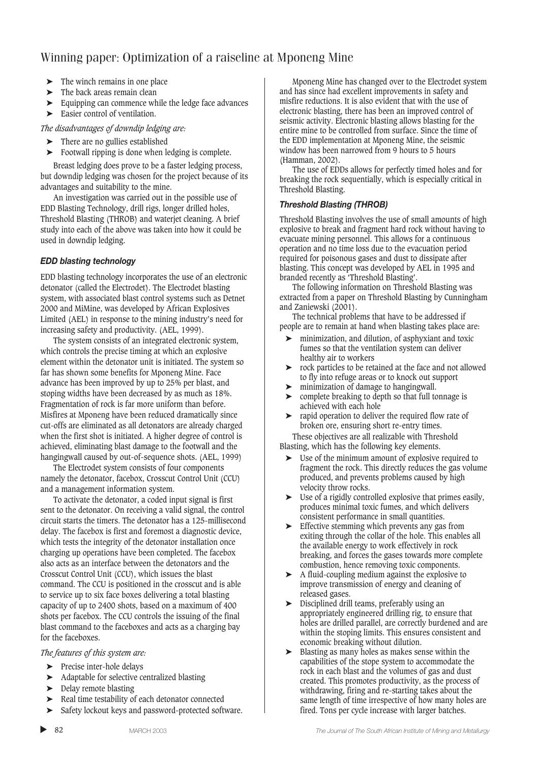- ➤ The winch remains in one place
- $\blacktriangleright$  The back areas remain clean
- ➤ Equipping can commence while the ledge face advances
- ► Easier control of ventilation.

*The disadvantages of downdip ledging are:*

- ➤ There are no gullies established
- ➤ Footwall ripping is done when ledging is complete.

Breast ledging does prove to be a faster ledging process, but downdip ledging was chosen for the project because of its advantages and suitability to the mine.

An investigation was carried out in the possible use of EDD Blasting Technology, drill rigs, longer drilled holes, Threshold Blasting (THROB) and waterjet cleaning. A brief study into each of the above was taken into how it could be used in downdip ledging.

#### *EDD blasting technology*

EDD blasting technology incorporates the use of an electronic detonator (called the Electrodet). The Electrodet blasting system, with associated blast control systems such as Detnet 2000 and MiMine, was developed by African Explosives Limited (AEL) in response to the mining industry's need for increasing safety and productivity. (AEL, 1999).

The system consists of an integrated electronic system, which controls the precise timing at which an explosive element within the detonator unit is initiated. The system so far has shown some benefits for Mponeng Mine. Face advance has been improved by up to 25% per blast, and stoping widths have been decreased by as much as 18%. Fragmentation of rock is far more uniform than before. Misfires at Mponeng have been reduced dramatically since cut-offs are eliminated as all detonators are already charged when the first shot is initiated. A higher degree of control is achieved, eliminating blast damage to the footwall and the hangingwall caused by out-of-sequence shots. (AEL, 1999)

The Electrodet system consists of four components namely the detonator, facebox, Crosscut Control Unit (CCU) and a management information system.

To activate the detonator, a coded input signal is first sent to the detonator. On receiving a valid signal, the control circuit starts the timers. The detonator has a 125-millisecond delay. The facebox is first and foremost a diagnostic device, which tests the integrity of the detonator installation once charging up operations have been completed. The facebox also acts as an interface between the detonators and the Crosscut Control Unit (CCU), which issues the blast command. The CCU is positioned in the crosscut and is able to service up to six face boxes delivering a total blasting capacity of up to 2400 shots, based on a maximum of 400 shots per facebox. The CCU controls the issuing of the final blast command to the faceboxes and acts as a charging bay for the faceboxes.

*The features of this system are:*

- ➤ Precise inter-hole delays
- ➤ Adaptable for selective centralized blasting
- ➤ Delay remote blasting

▲

- ➤ Real time testability of each detonator connected
- Safety lockout keys and password-protected software.

Mponeng Mine has changed over to the Electrodet system and has since had excellent improvements in safety and misfire reductions. It is also evident that with the use of electronic blasting, there has been an improved control of seismic activity. Electronic blasting allows blasting for the entire mine to be controlled from surface. Since the time of the EDD implementation at Mponeng Mine, the seismic window has been narrowed from 9 hours to 5 hours (Hamman, 2002).

The use of EDDs allows for perfectly timed holes and for breaking the rock sequentially, which is especially critical in Threshold Blasting.

#### *Threshold Blasting (THROB)*

Threshold Blasting involves the use of small amounts of high explosive to break and fragment hard rock without having to evacuate mining personnel. This allows for a continuous operation and no time loss due to the evacuation period required for poisonous gases and dust to dissipate after blasting. This concept was developed by AEL in 1995 and branded recently as 'Threshold Blasting'.

The following information on Threshold Blasting was extracted from a paper on Threshold Blasting by Cunningham and Zaniewski (2001).

The technical problems that have to be addressed if people are to remain at hand when blasting takes place are:

- minimization, and dilution, of asphyxiant and toxic fumes so that the ventilation system can deliver healthy air to workers
- ➤ rock particles to be retained at the face and not allowed to fly into refuge areas or to knock out support
- ➤ minimization of damage to hangingwall.
- ➤ complete breaking to depth so that full tonnage is achieved with each hole
- ➤ rapid operation to deliver the required flow rate of broken ore, ensuring short re-entry times.

These objectives are all realizable with Threshold Blasting, which has the following key elements.

- ➤ Use of the minimum amount of explosive required to fragment the rock. This directly reduces the gas volume produced, and prevents problems caused by high velocity throw rocks.
- ➤ Use of a rigidly controlled explosive that primes easily, produces minimal toxic fumes, and which delivers consistent performance in small quantities.
- ➤ Effective stemming which prevents any gas from exiting through the collar of the hole. This enables all the available energy to work effectively in rock breaking, and forces the gases towards more complete combustion, hence removing toxic components.
- ➤ A fluid-coupling medium against the explosive to improve transmission of energy and cleaning of released gases.
- ➤ Disciplined drill teams, preferably using an appropriately engineered drilling rig, to ensure that holes are drilled parallel, are correctly burdened and are within the stoping limits. This ensures consistent and economic breaking without dilution.
- ➤ Blasting as many holes as makes sense within the capabilities of the stope system to accommodate the rock in each blast and the volumes of gas and dust created. This promotes productivity, as the process of withdrawing, firing and re-starting takes about the same length of time irrespective of how many holes are fired. Tons per cycle increase with larger batches.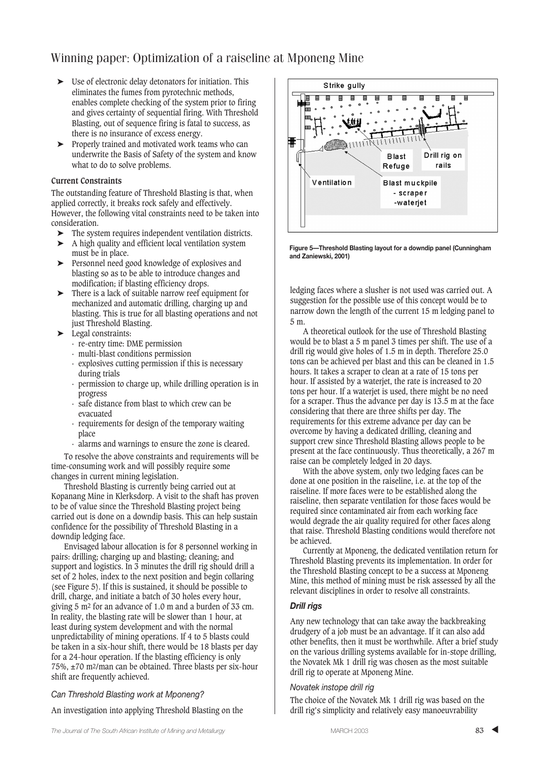- ➤ Use of electronic delay detonators for initiation. This eliminates the fumes from pyrotechnic methods, enables complete checking of the system prior to firing and gives certainty of sequential firing. With Threshold Blasting, out of sequence firing is fatal to success, as there is no insurance of excess energy.
- ➤ Properly trained and motivated work teams who can underwrite the Basis of Safety of the system and know what to do to solve problems.

#### **Current Constraints**

The outstanding feature of Threshold Blasting is that, when applied correctly, it breaks rock safely and effectively. However, the following vital constraints need to be taken into consideration.

- ➤ The system requires independent ventilation districts.
- ➤ A high quality and efficient local ventilation system must be in place.
- ➤ Personnel need good knowledge of explosives and blasting so as to be able to introduce changes and modification; if blasting efficiency drops.
- ➤ There is a lack of suitable narrow reef equipment for mechanized and automatic drilling, charging up and blasting. This is true for all blasting operations and not just Threshold Blasting.
- ➤ Legal constraints:
	- · re-entry time: DME permission
	- · multi-blast conditions permission
	- · explosives cutting permission if this is necessary during trials
	- · permission to charge up, while drilling operation is in progress
	- · safe distance from blast to which crew can be evacuated
	- · requirements for design of the temporary waiting place
	- · alarms and warnings to ensure the zone is cleared.

To resolve the above constraints and requirements will be time-consuming work and will possibly require some changes in current mining legislation.

Threshold Blasting is currently being carried out at Kopanang Mine in Klerksdorp. A visit to the shaft has proven to be of value since the Threshold Blasting project being carried out is done on a downdip basis. This can help sustain confidence for the possibility of Threshold Blasting in a downdip ledging face.

Envisaged labour allocation is for 8 personnel working in pairs: drilling; charging up and blasting; cleaning; and support and logistics. In 3 minutes the drill rig should drill a set of 2 holes, index to the next position and begin collaring (see Figure 5). If this is sustained, it should be possible to drill, charge, and initiate a batch of 30 holes every hour, giving 5 m2 for an advance of 1.0 m and a burden of 33 cm. In reality, the blasting rate will be slower than 1 hour, at least during system development and with the normal unpredictability of mining operations. If 4 to 5 blasts could be taken in a six-hour shift, there would be 18 blasts per day for a 24-hour operation. If the blasting efficiency is only 75%, ±70 m2/man can be obtained. Three blasts per six-hour shift are frequently achieved.

#### *Can Threshold Blasting work at Mponeng?*

An investigation into applying Threshold Blasting on the



**Figure 5—Threshold Blasting layout for a downdip panel (Cunningham and Zaniewski, 2001)**

ledging faces where a slusher is not used was carried out. A suggestion for the possible use of this concept would be to narrow down the length of the current 15 m ledging panel to 5 m.

A theoretical outlook for the use of Threshold Blasting would be to blast a 5 m panel 3 times per shift. The use of a drill rig would give holes of 1.5 m in depth. Therefore 25.0 tons can be achieved per blast and this can be cleaned in 1.5 hours. It takes a scraper to clean at a rate of 15 tons per hour. If assisted by a waterjet, the rate is increased to 20 tons per hour. If a waterjet is used, there might be no need for a scraper. Thus the advance per day is 13.5 m at the face considering that there are three shifts per day. The requirements for this extreme advance per day can be overcome by having a dedicated drilling, cleaning and support crew since Threshold Blasting allows people to be present at the face continuously. Thus theoretically, a 267 m raise can be completely ledged in 20 days.

With the above system, only two ledging faces can be done at one position in the raiseline, i.e. at the top of the raiseline. If more faces were to be established along the raiseline, then separate ventilation for those faces would be required since contaminated air from each working face would degrade the air quality required for other faces along that raise. Threshold Blasting conditions would therefore not be achieved.

Currently at Mponeng, the dedicated ventilation return for Threshold Blasting prevents its implementation. In order for the Threshold Blasting concept to be a success at Mponeng Mine, this method of mining must be risk assessed by all the relevant disciplines in order to resolve all constraints.

#### *Drill rigs*

Any new technology that can take away the backbreaking drudgery of a job must be an advantage. If it can also add other benefits, then it must be worthwhile. After a brief study on the various drilling systems available for in-stope drilling, the Novatek Mk 1 drill rig was chosen as the most suitable drill rig to operate at Mponeng Mine.

#### *Novatek instope drill rig*

The choice of the Novatek Mk 1 drill rig was based on the drill rig's simplicity and relatively easy manoeuvrability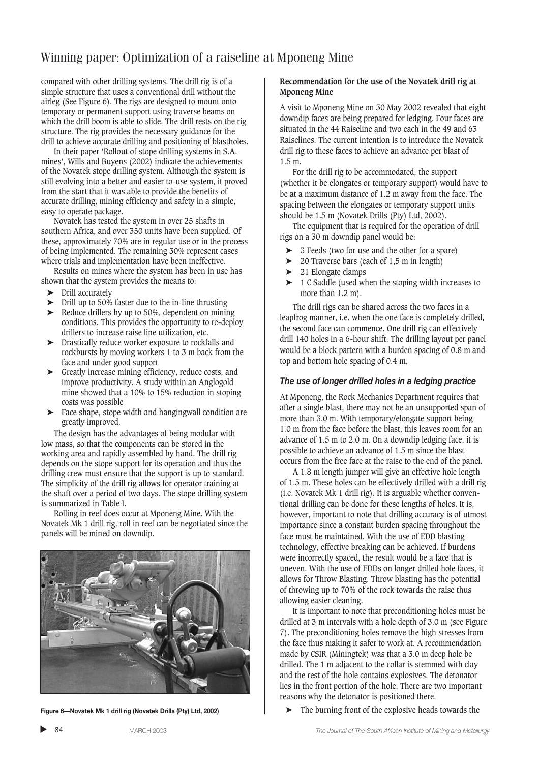compared with other drilling systems. The drill rig is of a simple structure that uses a conventional drill without the airleg (See Figure 6). The rigs are designed to mount onto temporary or permanent support using traverse beams on which the drill boom is able to slide. The drill rests on the rig structure. The rig provides the necessary guidance for the drill to achieve accurate drilling and positioning of blastholes.

In their paper 'Rollout of stope drilling systems in S.A. mines', Wills and Buyens (2002) indicate the achievements of the Novatek stope drilling system. Although the system is still evolving into a better and easier to-use system, it proved from the start that it was able to provide the benefits of accurate drilling, mining efficiency and safety in a simple, easy to operate package.

Novatek has tested the system in over 25 shafts in southern Africa, and over 350 units have been supplied. Of these, approximately 70% are in regular use or in the process of being implemented. The remaining 30% represent cases where trials and implementation have been ineffective.

Results on mines where the system has been in use has shown that the system provides the means to:

- ▶ Drill accurately
- ➤ Drill up to 50% faster due to the in-line thrusting
- ➤ Reduce drillers by up to 50%, dependent on mining conditions. This provides the opportunity to re-deploy drillers to increase raise line utilization, etc.
- ➤ Drastically reduce worker exposure to rockfalls and rockbursts by moving workers 1 to 3 m back from the face and under good support
- ➤ Greatly increase mining efficiency, reduce costs, and improve productivity. A study within an Anglogold mine showed that a 10% to 15% reduction in stoping costs was possible
- ➤ Face shape, stope width and hangingwall condition are greatly improved.

The design has the advantages of being modular with low mass, so that the components can be stored in the working area and rapidly assembled by hand. The drill rig depends on the stope support for its operation and thus the drilling crew must ensure that the support is up to standard. The simplicity of the drill rig allows for operator training at the shaft over a period of two days. The stope drilling system is summarized in Table I.

Rolling in reef does occur at Mponeng Mine. With the Novatek Mk 1 drill rig, roll in reef can be negotiated since the panels will be mined on downdip.



**Figure 6—Novatek Mk 1 drill rig (Novatek Drills (Pty) Ltd, 2002)**

#### **Recommendation for the use of the Novatek drill rig at Mponeng Mine**

A visit to Mponeng Mine on 30 May 2002 revealed that eight downdip faces are being prepared for ledging. Four faces are situated in the 44 Raiseline and two each in the 49 and 63 Raiselines. The current intention is to introduce the Novatek drill rig to these faces to achieve an advance per blast of 1.5 m.

For the drill rig to be accommodated, the support (whether it be elongates or temporary support) would have to be at a maximum distance of 1.2 m away from the face. The spacing between the elongates or temporary support units should be 1.5 m (Novatek Drills (Pty) Ltd, 2002).

The equipment that is required for the operation of drill rigs on a 30 m downdip panel would be:

- ➤ 3 Feeds (two for use and the other for a spare)
- ➤ 20 Traverse bars (each of 1,5 m in length)
- ➤ 21 Elongate clamps
- ➤ 1 C Saddle (used when the stoping width increases to more than 1.2 m).

The drill rigs can be shared across the two faces in a leapfrog manner, i.e. when the one face is completely drilled, the second face can commence. One drill rig can effectively drill 140 holes in a 6-hour shift. The drilling layout per panel would be a block pattern with a burden spacing of 0.8 m and top and bottom hole spacing of 0.4 m.

#### *The use of longer drilled holes in a ledging practice*

At Mponeng, the Rock Mechanics Department requires that after a single blast, there may not be an unsupported span of more than 3.0 m. With temporary/elongate support being 1.0 m from the face before the blast, this leaves room for an advance of 1.5 m to 2.0 m. On a downdip ledging face, it is possible to achieve an advance of 1.5 m since the blast occurs from the free face at the raise to the end of the panel.

A 1.8 m length jumper will give an effective hole length of 1.5 m. These holes can be effectively drilled with a drill rig (i.e. Novatek Mk 1 drill rig). It is arguable whether conventional drilling can be done for these lengths of holes. It is, however, important to note that drilling accuracy is of utmost importance since a constant burden spacing throughout the face must be maintained. With the use of EDD blasting technology, effective breaking can be achieved. If burdens were incorrectly spaced, the result would be a face that is uneven. With the use of EDDs on longer drilled hole faces, it allows for Throw Blasting. Throw blasting has the potential of throwing up to 70% of the rock towards the raise thus allowing easier cleaning.

It is important to note that preconditioning holes must be drilled at 3 m intervals with a hole depth of 3.0 m (see Figure 7). The preconditioning holes remove the high stresses from the face thus making it safer to work at. A recommendation made by CSIR (Miningtek) was that a 3.0 m deep hole be drilled. The 1 m adjacent to the collar is stemmed with clay and the rest of the hole contains explosives. The detonator lies in the front portion of the hole. There are two important reasons why the detonator is positioned there.

The burning front of the explosive heads towards the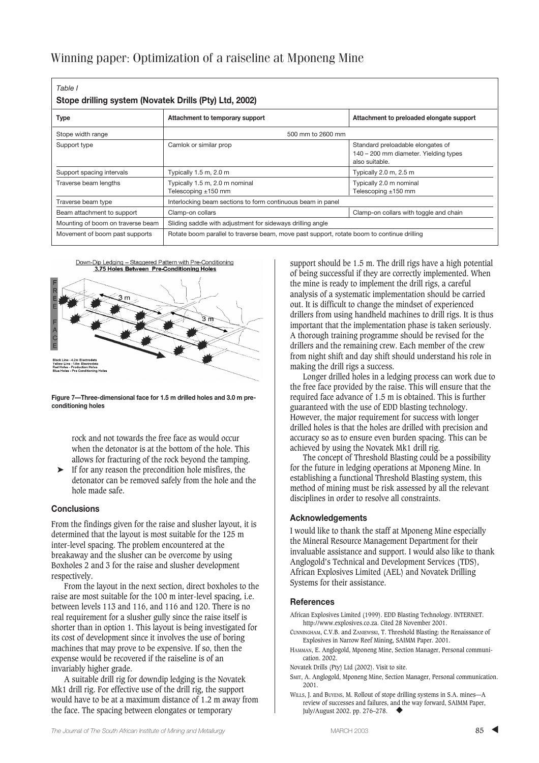| Stope drilling system (Novatek Drills (Pty) Ltd, 2002) |                                                                                            |                                                                                              |
|--------------------------------------------------------|--------------------------------------------------------------------------------------------|----------------------------------------------------------------------------------------------|
| <b>Type</b>                                            | Attachment to temporary support                                                            | Attachment to preloaded elongate support                                                     |
| Stope width range                                      | 500 mm to 2600 mm                                                                          |                                                                                              |
| Support type                                           | Camlok or similar prop                                                                     | Standard preloadable elongates of<br>140 – 200 mm diameter. Yielding types<br>also suitable. |
| Support spacing intervals                              | Typically 1.5 m, 2.0 m                                                                     | Typically 2.0 m, 2.5 m                                                                       |
| Traverse beam lengths                                  | Typically 1.5 m, 2.0 m nominal<br>Telescoping $\pm 150$ mm                                 | Typically 2.0 m nominal<br>Telescoping $±150$ mm                                             |
| Traverse beam type                                     | Interlocking beam sections to form continuous beam in panel                                |                                                                                              |
| Beam attachment to support                             | Clamp-on collars                                                                           | Clamp-on collars with toggle and chain                                                       |
| Mounting of boom on traverse beam                      | Sliding saddle with adjustment for sideways drilling angle                                 |                                                                                              |
| Movement of boom past supports                         | Rotate boom parallel to traverse beam, move past support, rotate boom to continue drilling |                                                                                              |



**Figure 7—Three-dimensional face for 1.5 m drilled holes and 3.0 m preconditioning holes**

rock and not towards the free face as would occur when the detonator is at the bottom of the hole. This allows for fracturing of the rock beyond the tamping.

➤ If for any reason the precondition hole misfires, the detonator can be removed safely from the hole and the hole made safe.

#### **Conclusions**

From the findings given for the raise and slusher layout, it is determined that the layout is most suitable for the 125 m inter-level spacing. The problem encountered at the breakaway and the slusher can be overcome by using Boxholes 2 and 3 for the raise and slusher development respectively.

From the layout in the next section, direct boxholes to the raise are most suitable for the 100 m inter-level spacing, i.e. between levels 113 and 116, and 116 and 120. There is no real requirement for a slusher gully since the raise itself is shorter than in option 1. This layout is being investigated for its cost of development since it involves the use of boring machines that may prove to be expensive. If so, then the expense would be recovered if the raiseline is of an invariably higher grade.

A suitable drill rig for downdip ledging is the Novatek Mk1 drill rig. For effective use of the drill rig, the support would have to be at a maximum distance of 1.2 m away from the face. The spacing between elongates or temporary

support should be 1.5 m. The drill rigs have a high potential of being successful if they are correctly implemented. When the mine is ready to implement the drill rigs, a careful analysis of a systematic implementation should be carried out. It is difficult to change the mindset of experienced drillers from using handheld machines to drill rigs. It is thus important that the implementation phase is taken seriously. A thorough training programme should be revised for the drillers and the remaining crew. Each member of the crew from night shift and day shift should understand his role in making the drill rigs a success.

Longer drilled holes in a ledging process can work due to the free face provided by the raise. This will ensure that the required face advance of 1.5 m is obtained. This is further guaranteed with the use of EDD blasting technology. However, the major requirement for success with longer drilled holes is that the holes are drilled with precision and accuracy so as to ensure even burden spacing. This can be achieved by using the Novatek Mk1 drill rig.

The concept of Threshold Blasting could be a possibility for the future in ledging operations at Mponeng Mine. In establishing a functional Threshold Blasting system, this method of mining must be risk assessed by all the relevant disciplines in order to resolve all constraints.

#### **Acknowledgements**

I would like to thank the staff at Mponeng Mine especially the Mineral Resource Management Department for their invaluable assistance and support. I would also like to thank Anglogold's Technical and Development Services (TDS), African Explosives Limited (AEL) and Novatek Drilling Systems for their assistance.

#### **References**

African Explosives Limited (1999). EDD Blasting Technology. INTERNET. http://www.explosives.co.za. Cited 28 November 2001.

- CUNNINGHAM, C.V.B. and ZANIEWSKI, T. Threshold Blasting: the Renaissance of Explosives in Narrow Reef Mining, SAIMM Paper. 2001.
- HAMMAN, E. Anglogold, Mponeng Mine, Section Manager, Personal communication. 2002.
- Novatek Drills (Pty) Ltd (2002). Visit to site.
- SMIT, A. Anglogold, Mponeng Mine, Section Manager, Personal communication. 2001.
- WILLS, J. and BUYENS, M. Rollout of stope drilling systems in S.A. mines—A review of successes and failures, and the way forward, SAIMM Paper, July/August 2002. pp. 276-278.